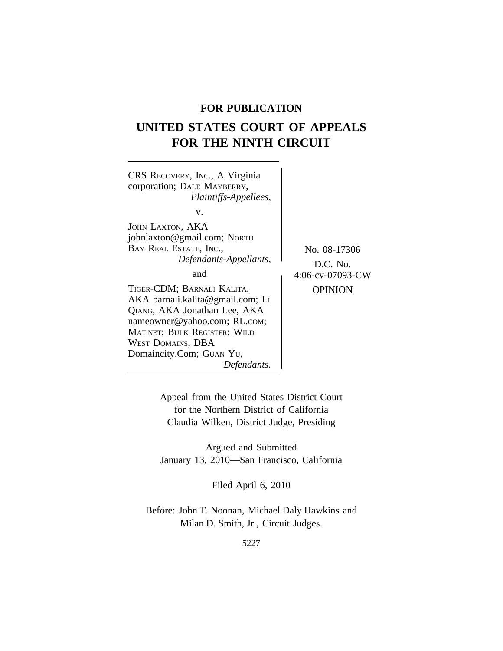# **FOR PUBLICATION**

# **UNITED STATES COURT OF APPEALS FOR THE NINTH CIRCUIT**



Appeal from the United States District Court for the Northern District of California Claudia Wilken, District Judge, Presiding

Argued and Submitted January 13, 2010—San Francisco, California

Filed April 6, 2010

Before: John T. Noonan, Michael Daly Hawkins and Milan D. Smith, Jr., Circuit Judges.

5227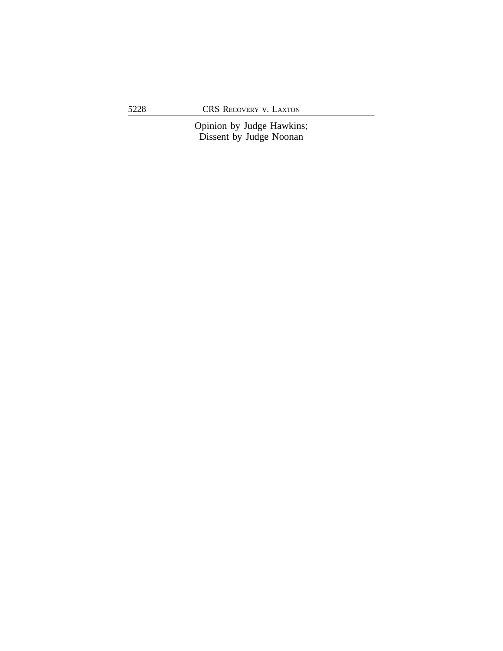Opinion by Judge Hawkins; Dissent by Judge Noonan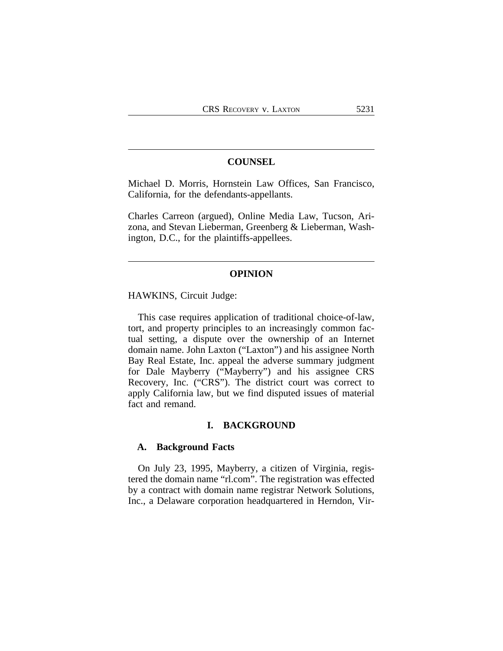# **COUNSEL**

Michael D. Morris, Hornstein Law Offices, San Francisco, California, for the defendants-appellants.

Charles Carreon (argued), Online Media Law, Tucson, Arizona, and Stevan Lieberman, Greenberg & Lieberman, Washington, D.C., for the plaintiffs-appellees.

#### **OPINION**

HAWKINS, Circuit Judge:

This case requires application of traditional choice-of-law, tort, and property principles to an increasingly common factual setting, a dispute over the ownership of an Internet domain name. John Laxton ("Laxton") and his assignee North Bay Real Estate, Inc. appeal the adverse summary judgment for Dale Mayberry ("Mayberry") and his assignee CRS Recovery, Inc. ("CRS"). The district court was correct to apply California law, but we find disputed issues of material fact and remand.

### **I. BACKGROUND**

## **A. Background Facts**

On July 23, 1995, Mayberry, a citizen of Virginia, registered the domain name "rl.com". The registration was effected by a contract with domain name registrar Network Solutions, Inc., a Delaware corporation headquartered in Herndon, Vir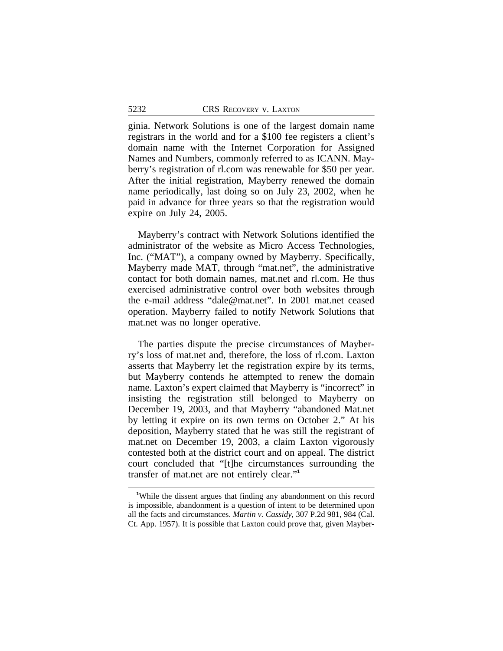ginia. Network Solutions is one of the largest domain name registrars in the world and for a \$100 fee registers a client's domain name with the Internet Corporation for Assigned Names and Numbers, commonly referred to as ICANN. Mayberry's registration of rl.com was renewable for \$50 per year. After the initial registration, Mayberry renewed the domain name periodically, last doing so on July 23, 2002, when he paid in advance for three years so that the registration would expire on July 24, 2005.

Mayberry's contract with Network Solutions identified the administrator of the website as Micro Access Technologies, Inc. ("MAT"), a company owned by Mayberry. Specifically, Mayberry made MAT, through "mat.net", the administrative contact for both domain names, mat.net and rl.com. He thus exercised administrative control over both websites through the e-mail address "dale@mat.net". In 2001 mat.net ceased operation. Mayberry failed to notify Network Solutions that mat.net was no longer operative.

The parties dispute the precise circumstances of Mayberry's loss of mat.net and, therefore, the loss of rl.com. Laxton asserts that Mayberry let the registration expire by its terms, but Mayberry contends he attempted to renew the domain name. Laxton's expert claimed that Mayberry is "incorrect" in insisting the registration still belonged to Mayberry on December 19, 2003, and that Mayberry "abandoned Mat.net by letting it expire on its own terms on October 2." At his deposition, Mayberry stated that he was still the registrant of mat.net on December 19, 2003, a claim Laxton vigorously contested both at the district court and on appeal. The district court concluded that "[t]he circumstances surrounding the transfer of mat.net are not entirely clear." **1**

**<sup>1</sup>**While the dissent argues that finding any abandonment on this record is impossible, abandonment is a question of intent to be determined upon all the facts and circumstances. *Martin v. Cassidy*, 307 P.2d 981, 984 (Cal. Ct. App. 1957). It is possible that Laxton could prove that, given Mayber-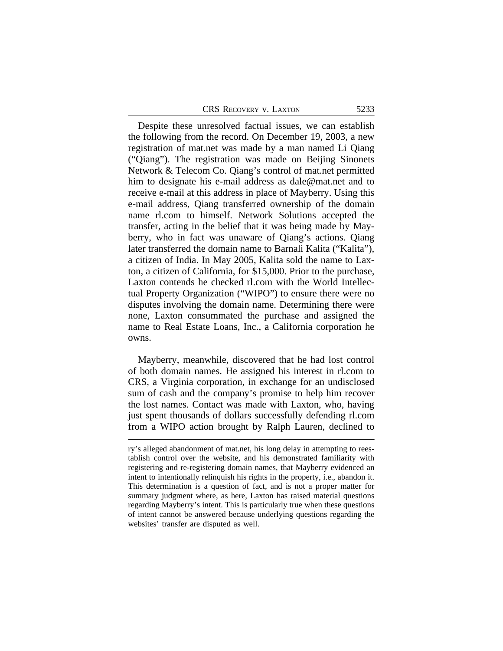Despite these unresolved factual issues, we can establish the following from the record. On December 19, 2003, a new registration of mat.net was made by a man named Li Qiang ("Qiang"). The registration was made on Beijing Sinonets Network & Telecom Co. Qiang's control of mat.net permitted him to designate his e-mail address as dale@mat.net and to receive e-mail at this address in place of Mayberry. Using this e-mail address, Qiang transferred ownership of the domain name rl.com to himself. Network Solutions accepted the transfer, acting in the belief that it was being made by Mayberry, who in fact was unaware of Qiang's actions. Qiang later transferred the domain name to Barnali Kalita ("Kalita"), a citizen of India. In May 2005, Kalita sold the name to Laxton, a citizen of California, for \$15,000. Prior to the purchase, Laxton contends he checked rl.com with the World Intellectual Property Organization ("WIPO") to ensure there were no disputes involving the domain name. Determining there were none, Laxton consummated the purchase and assigned the name to Real Estate Loans, Inc., a California corporation he owns.

Mayberry, meanwhile, discovered that he had lost control of both domain names. He assigned his interest in rl.com to CRS, a Virginia corporation, in exchange for an undisclosed sum of cash and the company's promise to help him recover the lost names. Contact was made with Laxton, who, having just spent thousands of dollars successfully defending rl.com from a WIPO action brought by Ralph Lauren, declined to

ry's alleged abandonment of mat.net, his long delay in attempting to reestablish control over the website, and his demonstrated familiarity with registering and re-registering domain names, that Mayberry evidenced an intent to intentionally relinquish his rights in the property, i.e., abandon it. This determination is a question of fact, and is not a proper matter for summary judgment where, as here, Laxton has raised material questions regarding Mayberry's intent. This is particularly true when these questions of intent cannot be answered because underlying questions regarding the websites' transfer are disputed as well.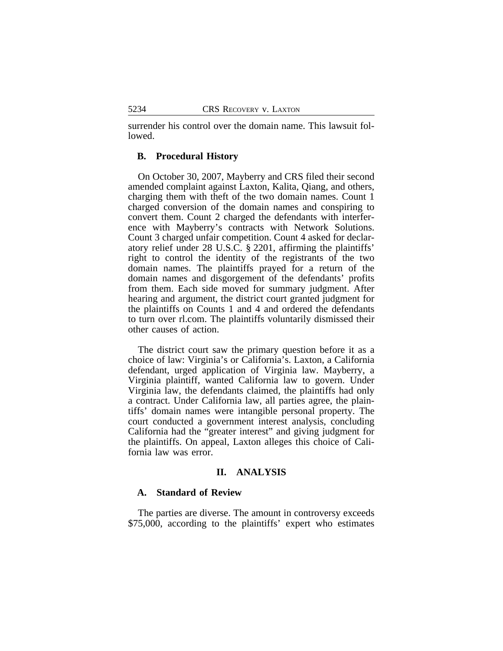surrender his control over the domain name. This lawsuit followed.

## **B. Procedural History**

On October 30, 2007, Mayberry and CRS filed their second amended complaint against Laxton, Kalita, Qiang, and others, charging them with theft of the two domain names. Count 1 charged conversion of the domain names and conspiring to convert them. Count 2 charged the defendants with interference with Mayberry's contracts with Network Solutions. Count 3 charged unfair competition. Count 4 asked for declaratory relief under 28 U.S.C. § 2201, affirming the plaintiffs' right to control the identity of the registrants of the two domain names. The plaintiffs prayed for a return of the domain names and disgorgement of the defendants' profits from them. Each side moved for summary judgment. After hearing and argument, the district court granted judgment for the plaintiffs on Counts 1 and 4 and ordered the defendants to turn over rl.com. The plaintiffs voluntarily dismissed their other causes of action.

The district court saw the primary question before it as a choice of law: Virginia's or California's. Laxton, a California defendant, urged application of Virginia law. Mayberry, a Virginia plaintiff, wanted California law to govern. Under Virginia law, the defendants claimed, the plaintiffs had only a contract. Under California law, all parties agree, the plaintiffs' domain names were intangible personal property. The court conducted a government interest analysis, concluding California had the "greater interest" and giving judgment for the plaintiffs. On appeal, Laxton alleges this choice of California law was error.

# **II. ANALYSIS**

### **A. Standard of Review**

The parties are diverse. The amount in controversy exceeds \$75,000, according to the plaintiffs' expert who estimates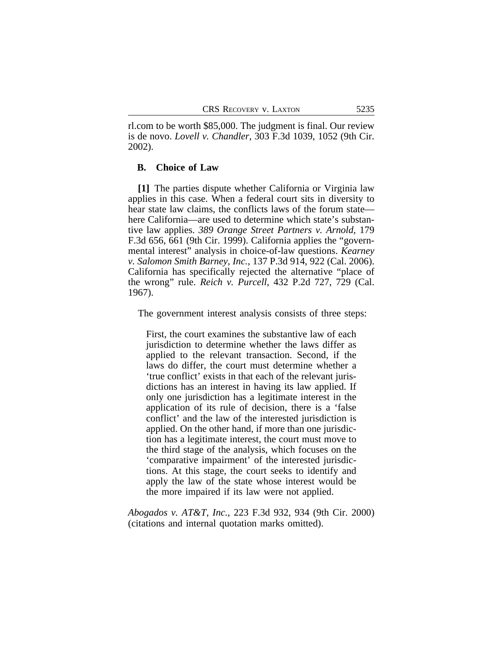rl.com to be worth \$85,000. The judgment is final. Our review is de novo. *Lovell v. Chandler*, 303 F.3d 1039, 1052 (9th Cir. 2002).

### **B. Choice of Law**

**[1]** The parties dispute whether California or Virginia law applies in this case. When a federal court sits in diversity to hear state law claims, the conflicts laws of the forum state here California—are used to determine which state's substantive law applies. *389 Orange Street Partners v. Arnold*, 179 F.3d 656, 661 (9th Cir. 1999). California applies the "governmental interest" analysis in choice-of-law questions. *Kearney v. Salomon Smith Barney, Inc.*, 137 P.3d 914, 922 (Cal. 2006). California has specifically rejected the alternative "place of the wrong" rule. *Reich v. Purcell*, 432 P.2d 727, 729 (Cal. 1967).

The government interest analysis consists of three steps:

First, the court examines the substantive law of each jurisdiction to determine whether the laws differ as applied to the relevant transaction. Second, if the laws do differ, the court must determine whether a 'true conflict' exists in that each of the relevant jurisdictions has an interest in having its law applied. If only one jurisdiction has a legitimate interest in the application of its rule of decision, there is a 'false conflict' and the law of the interested jurisdiction is applied. On the other hand, if more than one jurisdiction has a legitimate interest, the court must move to the third stage of the analysis, which focuses on the 'comparative impairment' of the interested jurisdictions. At this stage, the court seeks to identify and apply the law of the state whose interest would be the more impaired if its law were not applied.

*Abogados v. AT&T, Inc.*, 223 F.3d 932, 934 (9th Cir. 2000) (citations and internal quotation marks omitted).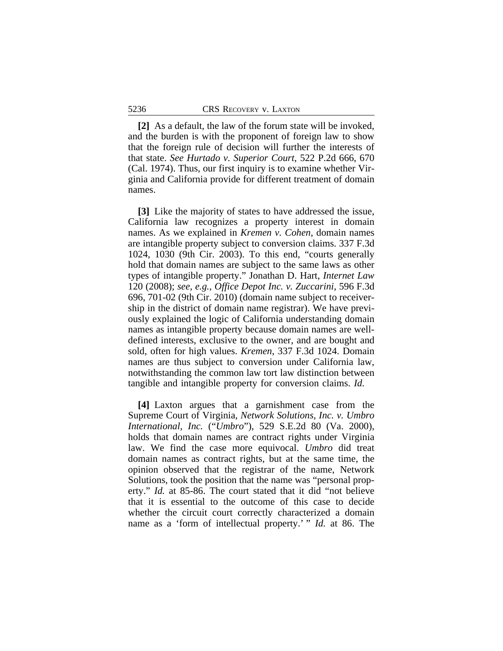**[2]** As a default, the law of the forum state will be invoked, and the burden is with the proponent of foreign law to show that the foreign rule of decision will further the interests of that state. *See Hurtado v. Superior Court*, 522 P.2d 666, 670 (Cal. 1974). Thus, our first inquiry is to examine whether Virginia and California provide for different treatment of domain names.

**[3]** Like the majority of states to have addressed the issue, California law recognizes a property interest in domain names. As we explained in *Kremen v. Cohen*, domain names are intangible property subject to conversion claims. 337 F.3d 1024, 1030 (9th Cir. 2003). To this end, "courts generally hold that domain names are subject to the same laws as other types of intangible property." Jonathan D. Hart, *Internet Law* 120 (2008); *see, e.g.*, *Office Depot Inc. v. Zuccarini*, 596 F.3d 696, 701-02 (9th Cir. 2010) (domain name subject to receivership in the district of domain name registrar). We have previously explained the logic of California understanding domain names as intangible property because domain names are welldefined interests, exclusive to the owner, and are bought and sold, often for high values. *Kremen*, 337 F.3d 1024. Domain names are thus subject to conversion under California law, notwithstanding the common law tort law distinction between tangible and intangible property for conversion claims. *Id.*

**[4]** Laxton argues that a garnishment case from the Supreme Court of Virginia, *Network Solutions, Inc. v. Umbro International, Inc.* ("*Umbro*"), 529 S.E.2d 80 (Va. 2000), holds that domain names are contract rights under Virginia law. We find the case more equivocal. *Umbro* did treat domain names as contract rights, but at the same time, the opinion observed that the registrar of the name, Network Solutions, took the position that the name was "personal property." *Id.* at 85-86. The court stated that it did "not believe that it is essential to the outcome of this case to decide whether the circuit court correctly characterized a domain name as a 'form of intellectual property.' " *Id.* at 86. The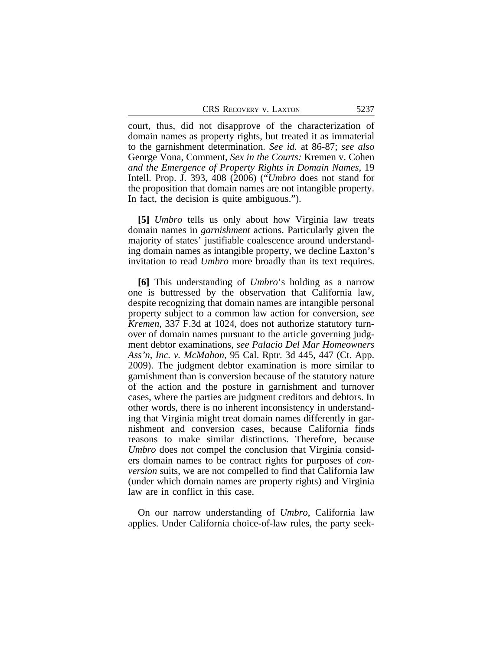court, thus, did not disapprove of the characterization of domain names as property rights, but treated it as immaterial to the garnishment determination. *See id.* at 86-87; *see also* George Vona, Comment, *Sex in the Courts:* Kremen v. Cohen *and the Emergence of Property Rights in Domain Names*, 19 Intell. Prop. J. 393, 408 (2006) ("*Umbro* does not stand for the proposition that domain names are not intangible property. In fact, the decision is quite ambiguous.").

**[5]** *Umbro* tells us only about how Virginia law treats domain names in *garnishment* actions. Particularly given the majority of states' justifiable coalescence around understanding domain names as intangible property, we decline Laxton's invitation to read *Umbro* more broadly than its text requires.

**[6]** This understanding of *Umbro*'s holding as a narrow one is buttressed by the observation that California law, despite recognizing that domain names are intangible personal property subject to a common law action for conversion, *see Kremen*, 337 F.3d at 1024, does not authorize statutory turnover of domain names pursuant to the article governing judgment debtor examinations, *see Palacio Del Mar Homeowners Ass'n, Inc. v. McMahon*, 95 Cal. Rptr. 3d 445, 447 (Ct. App. 2009). The judgment debtor examination is more similar to garnishment than is conversion because of the statutory nature of the action and the posture in garnishment and turnover cases, where the parties are judgment creditors and debtors. In other words, there is no inherent inconsistency in understanding that Virginia might treat domain names differently in garnishment and conversion cases, because California finds reasons to make similar distinctions. Therefore, because *Umbro* does not compel the conclusion that Virginia considers domain names to be contract rights for purposes of *conversion* suits, we are not compelled to find that California law (under which domain names are property rights) and Virginia law are in conflict in this case.

On our narrow understanding of *Umbro*, California law applies. Under California choice-of-law rules, the party seek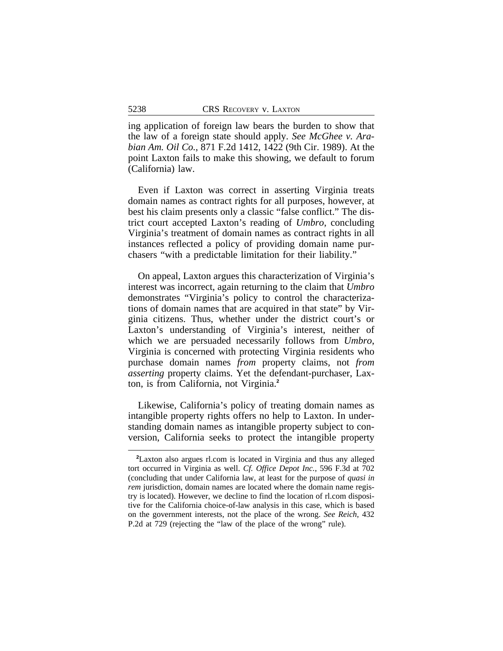ing application of foreign law bears the burden to show that the law of a foreign state should apply. *See McGhee v. Arabian Am. Oil Co.*, 871 F.2d 1412, 1422 (9th Cir. 1989). At the point Laxton fails to make this showing, we default to forum (California) law.

Even if Laxton was correct in asserting Virginia treats domain names as contract rights for all purposes, however, at best his claim presents only a classic "false conflict." The district court accepted Laxton's reading of *Umbro*, concluding Virginia's treatment of domain names as contract rights in all instances reflected a policy of providing domain name purchasers "with a predictable limitation for their liability."

On appeal, Laxton argues this characterization of Virginia's interest was incorrect, again returning to the claim that *Umbro* demonstrates "Virginia's policy to control the characterizations of domain names that are acquired in that state" by Virginia citizens. Thus, whether under the district court's or Laxton's understanding of Virginia's interest, neither of which we are persuaded necessarily follows from *Umbro*, Virginia is concerned with protecting Virginia residents who purchase domain names *from* property claims, not *from asserting* property claims. Yet the defendant-purchaser, Laxton, is from California, not Virginia.**<sup>2</sup>**

Likewise, California's policy of treating domain names as intangible property rights offers no help to Laxton. In understanding domain names as intangible property subject to conversion, California seeks to protect the intangible property

**<sup>2</sup>**Laxton also argues rl.com is located in Virginia and thus any alleged tort occurred in Virginia as well. *Cf. Office Depot Inc.*, 596 F.3d at 702 (concluding that under California law, at least for the purpose of *quasi in rem* jurisdiction, domain names are located where the domain name registry is located). However, we decline to find the location of rl.com dispositive for the California choice-of-law analysis in this case, which is based on the government interests, not the place of the wrong. *See Reich*, 432 P.2d at 729 (rejecting the "law of the place of the wrong" rule).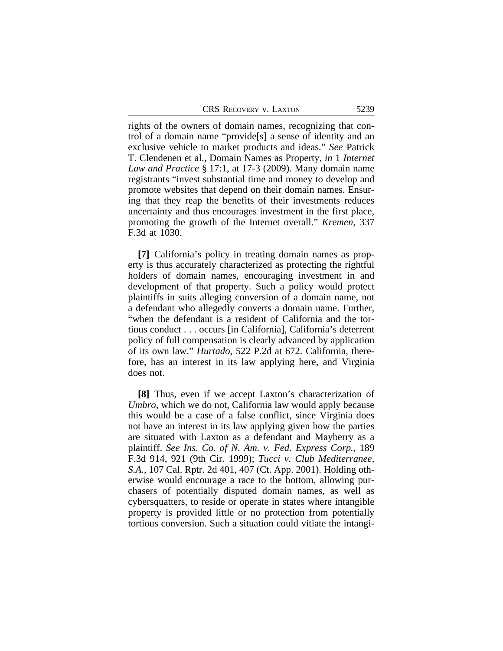rights of the owners of domain names, recognizing that control of a domain name "provide[s] a sense of identity and an exclusive vehicle to market products and ideas." *See* Patrick T. Clendenen et al., Domain Names as Property, *in* 1 *Internet Law and Practice* § 17:1, at 17-3 (2009). Many domain name registrants "invest substantial time and money to develop and promote websites that depend on their domain names. Ensuring that they reap the benefits of their investments reduces uncertainty and thus encourages investment in the first place, promoting the growth of the Internet overall." *Kremen*, 337 F.3d at 1030.

**[7]** California's policy in treating domain names as property is thus accurately characterized as protecting the rightful holders of domain names, encouraging investment in and development of that property. Such a policy would protect plaintiffs in suits alleging conversion of a domain name, not a defendant who allegedly converts a domain name. Further, "when the defendant is a resident of California and the tortious conduct . . . occurs [in California], California's deterrent policy of full compensation is clearly advanced by application of its own law." *Hurtado*, 522 P.2d at 672. California, therefore, has an interest in its law applying here, and Virginia does not.

**[8]** Thus, even if we accept Laxton's characterization of *Umbro*, which we do not, California law would apply because this would be a case of a false conflict, since Virginia does not have an interest in its law applying given how the parties are situated with Laxton as a defendant and Mayberry as a plaintiff. *See Ins. Co. of N. Am. v. Fed. Express Corp.*, 189 F.3d 914, 921 (9th Cir. 1999); *Tucci v. Club Mediterranee, S.A.*, 107 Cal. Rptr. 2d 401, 407 (Ct. App. 2001). Holding otherwise would encourage a race to the bottom, allowing purchasers of potentially disputed domain names, as well as cybersquatters, to reside or operate in states where intangible property is provided little or no protection from potentially tortious conversion. Such a situation could vitiate the intangi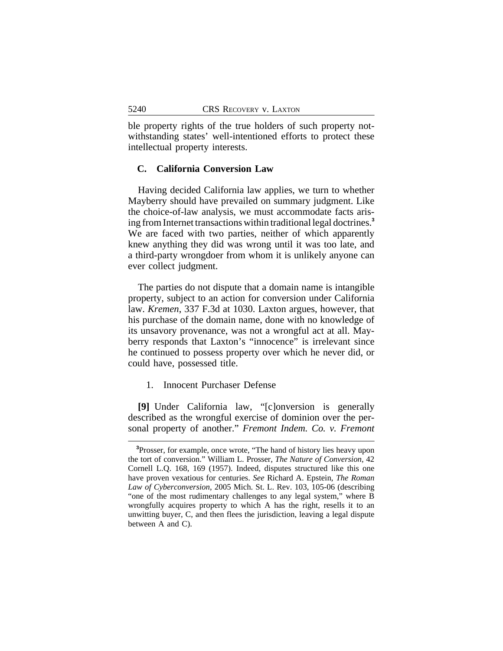ble property rights of the true holders of such property notwithstanding states' well-intentioned efforts to protect these intellectual property interests.

### **C. California Conversion Law**

Having decided California law applies, we turn to whether Mayberry should have prevailed on summary judgment. Like the choice-of-law analysis, we must accommodate facts arising from Internet transactions within traditional legal doctrines.**<sup>3</sup>** We are faced with two parties, neither of which apparently knew anything they did was wrong until it was too late, and a third-party wrongdoer from whom it is unlikely anyone can ever collect judgment.

The parties do not dispute that a domain name is intangible property, subject to an action for conversion under California law. *Kremen*, 337 F.3d at 1030. Laxton argues, however, that his purchase of the domain name, done with no knowledge of its unsavory provenance, was not a wrongful act at all. Mayberry responds that Laxton's "innocence" is irrelevant since he continued to possess property over which he never did, or could have, possessed title.

1. Innocent Purchaser Defense

**[9]** Under California law, "[c]onversion is generally described as the wrongful exercise of dominion over the personal property of another." *Fremont Indem. Co. v. Fremont*

**<sup>3</sup>**Prosser, for example, once wrote, "The hand of history lies heavy upon the tort of conversion." William L. Prosser, *The Nature of Conversion*, 42 Cornell L.Q. 168, 169 (1957). Indeed, disputes structured like this one have proven vexatious for centuries. *See* Richard A. Epstein, *The Roman Law of Cyberconversion*, 2005 Mich. St. L. Rev. 103, 105-06 (describing "one of the most rudimentary challenges to any legal system," where B wrongfully acquires property to which A has the right, resells it to an unwitting buyer, C, and then flees the jurisdiction, leaving a legal dispute between A and C).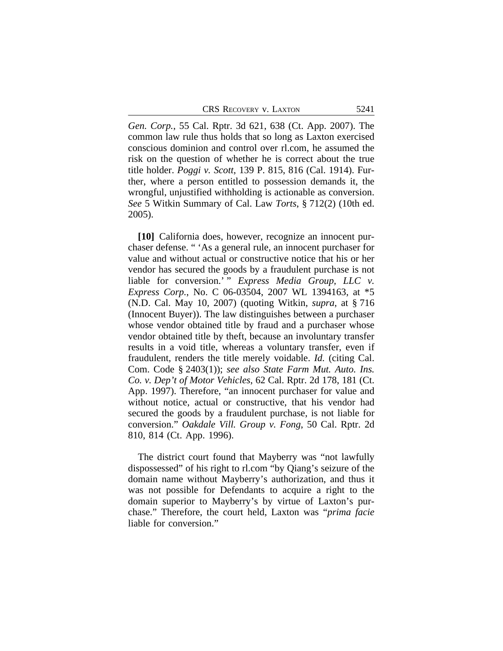*Gen. Corp.*, 55 Cal. Rptr. 3d 621, 638 (Ct. App. 2007). The common law rule thus holds that so long as Laxton exercised conscious dominion and control over rl.com, he assumed the risk on the question of whether he is correct about the true title holder. *Poggi v. Scott*, 139 P. 815, 816 (Cal. 1914). Further, where a person entitled to possession demands it, the wrongful, unjustified withholding is actionable as conversion. *See* 5 Witkin Summary of Cal. Law *Torts*, § 712(2) (10th ed. 2005).

**[10]** California does, however, recognize an innocent purchaser defense. " 'As a general rule, an innocent purchaser for value and without actual or constructive notice that his or her vendor has secured the goods by a fraudulent purchase is not liable for conversion.' " *Express Media Group, LLC v. Express Corp.*, No. C 06-03504, 2007 WL 1394163, at \*5 (N.D. Cal. May 10, 2007) (quoting Witkin, *supra*, at § 716 (Innocent Buyer)). The law distinguishes between a purchaser whose vendor obtained title by fraud and a purchaser whose vendor obtained title by theft, because an involuntary transfer results in a void title, whereas a voluntary transfer, even if fraudulent, renders the title merely voidable. *Id.* (citing Cal. Com. Code § 2403(1)); *see also State Farm Mut. Auto. Ins. Co. v. Dep't of Motor Vehicles*, 62 Cal. Rptr. 2d 178, 181 (Ct. App. 1997). Therefore, "an innocent purchaser for value and without notice, actual or constructive, that his vendor had secured the goods by a fraudulent purchase, is not liable for conversion." *Oakdale Vill. Group v. Fong*, 50 Cal. Rptr. 2d 810, 814 (Ct. App. 1996).

The district court found that Mayberry was "not lawfully dispossessed" of his right to rl.com "by Qiang's seizure of the domain name without Mayberry's authorization, and thus it was not possible for Defendants to acquire a right to the domain superior to Mayberry's by virtue of Laxton's purchase." Therefore, the court held, Laxton was "*prima facie* liable for conversion."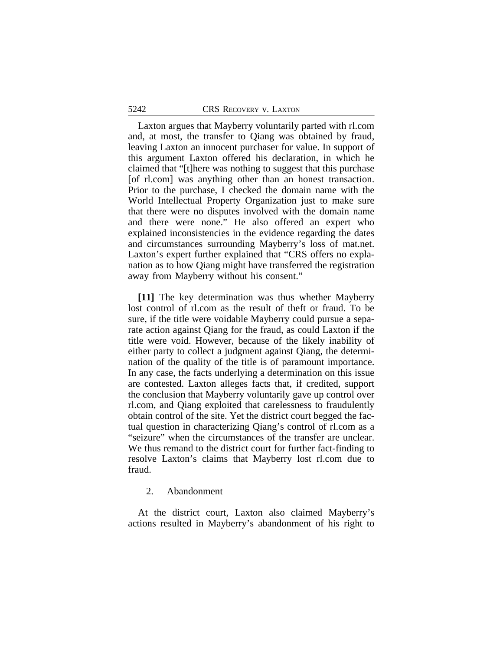Laxton argues that Mayberry voluntarily parted with rl.com and, at most, the transfer to Qiang was obtained by fraud, leaving Laxton an innocent purchaser for value. In support of this argument Laxton offered his declaration, in which he claimed that "[t]here was nothing to suggest that this purchase [of rl.com] was anything other than an honest transaction. Prior to the purchase, I checked the domain name with the World Intellectual Property Organization just to make sure that there were no disputes involved with the domain name and there were none." He also offered an expert who explained inconsistencies in the evidence regarding the dates and circumstances surrounding Mayberry's loss of mat.net. Laxton's expert further explained that "CRS offers no explanation as to how Qiang might have transferred the registration away from Mayberry without his consent."

**[11]** The key determination was thus whether Mayberry lost control of rl.com as the result of theft or fraud. To be sure, if the title were voidable Mayberry could pursue a separate action against Qiang for the fraud, as could Laxton if the title were void. However, because of the likely inability of either party to collect a judgment against Qiang, the determination of the quality of the title is of paramount importance. In any case, the facts underlying a determination on this issue are contested. Laxton alleges facts that, if credited, support the conclusion that Mayberry voluntarily gave up control over rl.com, and Qiang exploited that carelessness to fraudulently obtain control of the site. Yet the district court begged the factual question in characterizing Qiang's control of rl.com as a "seizure" when the circumstances of the transfer are unclear. We thus remand to the district court for further fact-finding to resolve Laxton's claims that Mayberry lost rl.com due to fraud.

#### 2. Abandonment

At the district court, Laxton also claimed Mayberry's actions resulted in Mayberry's abandonment of his right to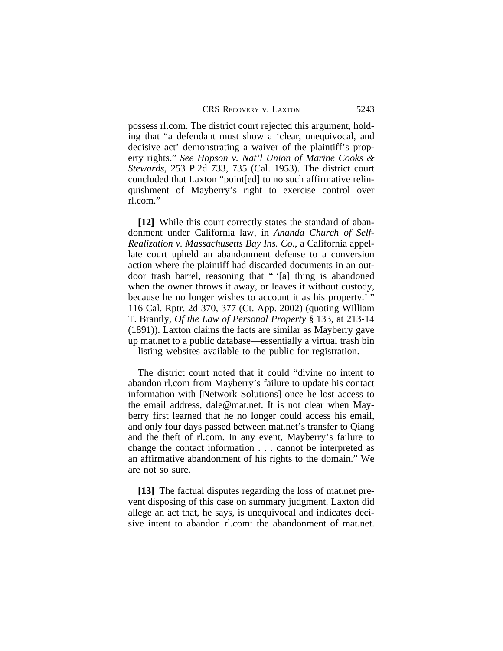possess rl.com. The district court rejected this argument, holding that "a defendant must show a 'clear, unequivocal, and decisive act' demonstrating a waiver of the plaintiff's property rights." *See Hopson v. Nat'l Union of Marine Cooks & Stewards*, 253 P.2d 733, 735 (Cal. 1953). The district court concluded that Laxton "point[ed] to no such affirmative relinquishment of Mayberry's right to exercise control over rl.com."

**[12]** While this court correctly states the standard of abandonment under California law, in *Ananda Church of Self-Realization v. Massachusetts Bay Ins. Co.*, a California appellate court upheld an abandonment defense to a conversion action where the plaintiff had discarded documents in an outdoor trash barrel, reasoning that " '[a] thing is abandoned when the owner throws it away, or leaves it without custody, because he no longer wishes to account it as his property.' " 116 Cal. Rptr. 2d 370, 377 (Ct. App. 2002) (quoting William T. Brantly, *Of the Law of Personal Property* § 133, at 213-14 (1891)). Laxton claims the facts are similar as Mayberry gave up mat.net to a public database—essentially a virtual trash bin —listing websites available to the public for registration.

The district court noted that it could "divine no intent to abandon rl.com from Mayberry's failure to update his contact information with [Network Solutions] once he lost access to the email address, dale@mat.net. It is not clear when Mayberry first learned that he no longer could access his email, and only four days passed between mat.net's transfer to Qiang and the theft of rl.com. In any event, Mayberry's failure to change the contact information . . . cannot be interpreted as an affirmative abandonment of his rights to the domain." We are not so sure.

**[13]** The factual disputes regarding the loss of mat.net prevent disposing of this case on summary judgment. Laxton did allege an act that, he says, is unequivocal and indicates decisive intent to abandon rl.com: the abandonment of mat.net.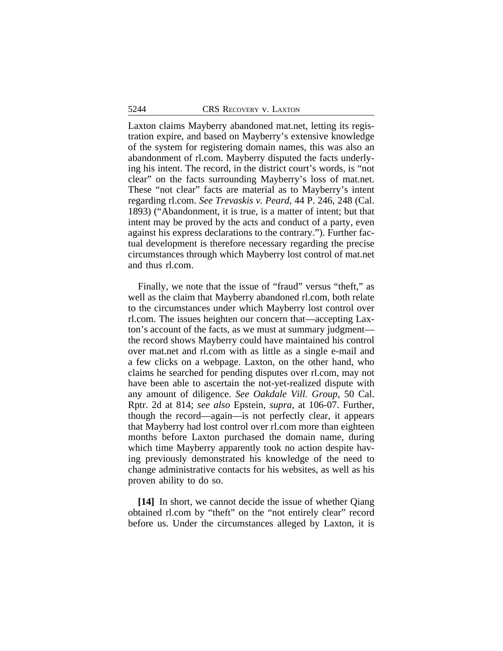Laxton claims Mayberry abandoned mat.net, letting its registration expire, and based on Mayberry's extensive knowledge of the system for registering domain names, this was also an abandonment of rl.com. Mayberry disputed the facts underlying his intent. The record, in the district court's words, is "not clear" on the facts surrounding Mayberry's loss of mat.net. These "not clear" facts are material as to Mayberry's intent regarding rl.com. *See Trevaskis v. Peard*, 44 P. 246, 248 (Cal. 1893) ("Abandonment, it is true, is a matter of intent; but that intent may be proved by the acts and conduct of a party, even against his express declarations to the contrary."). Further factual development is therefore necessary regarding the precise circumstances through which Mayberry lost control of mat.net and thus rl.com.

Finally, we note that the issue of "fraud" versus "theft," as well as the claim that Mayberry abandoned rl.com, both relate to the circumstances under which Mayberry lost control over rl.com. The issues heighten our concern that—accepting Laxton's account of the facts, as we must at summary judgment the record shows Mayberry could have maintained his control over mat.net and rl.com with as little as a single e-mail and a few clicks on a webpage. Laxton, on the other hand, who claims he searched for pending disputes over rl.com, may not have been able to ascertain the not-yet-realized dispute with any amount of diligence. *See Oakdale Vill. Group*, 50 Cal. Rptr. 2d at 814; *see also* Epstein, *supra*, at 106-07. Further, though the record—again—is not perfectly clear, it appears that Mayberry had lost control over rl.com more than eighteen months before Laxton purchased the domain name, during which time Mayberry apparently took no action despite having previously demonstrated his knowledge of the need to change administrative contacts for his websites, as well as his proven ability to do so.

**[14]** In short, we cannot decide the issue of whether Qiang obtained rl.com by "theft" on the "not entirely clear" record before us. Under the circumstances alleged by Laxton, it is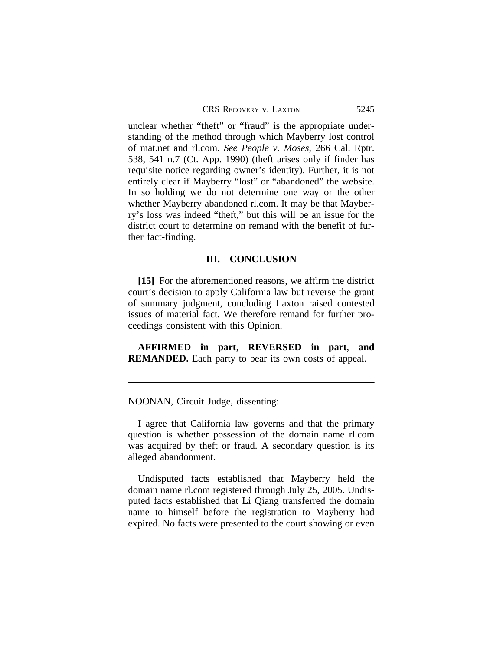unclear whether "theft" or "fraud" is the appropriate understanding of the method through which Mayberry lost control of mat.net and rl.com. *See People v. Moses*, 266 Cal. Rptr. 538, 541 n.7 (Ct. App. 1990) (theft arises only if finder has requisite notice regarding owner's identity). Further, it is not entirely clear if Mayberry "lost" or "abandoned" the website. In so holding we do not determine one way or the other whether Mayberry abandoned rl.com. It may be that Mayberry's loss was indeed "theft," but this will be an issue for the district court to determine on remand with the benefit of further fact-finding.

## **III. CONCLUSION**

**[15]** For the aforementioned reasons, we affirm the district court's decision to apply California law but reverse the grant of summary judgment, concluding Laxton raised contested issues of material fact. We therefore remand for further proceedings consistent with this Opinion.

**AFFIRMED in part**, **REVERSED in part**, **and REMANDED.** Each party to bear its own costs of appeal.

NOONAN, Circuit Judge, dissenting:

I agree that California law governs and that the primary question is whether possession of the domain name rl.com was acquired by theft or fraud. A secondary question is its alleged abandonment.

Undisputed facts established that Mayberry held the domain name rl.com registered through July 25, 2005. Undisputed facts established that Li Qiang transferred the domain name to himself before the registration to Mayberry had expired. No facts were presented to the court showing or even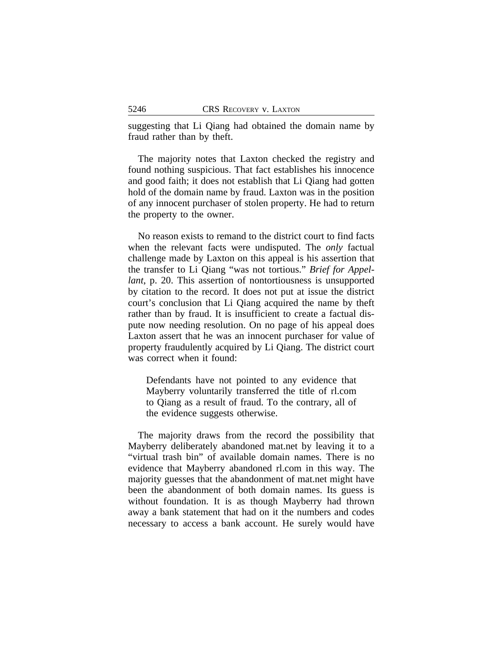suggesting that Li Qiang had obtained the domain name by fraud rather than by theft.

The majority notes that Laxton checked the registry and found nothing suspicious. That fact establishes his innocence and good faith; it does not establish that Li Qiang had gotten hold of the domain name by fraud. Laxton was in the position of any innocent purchaser of stolen property. He had to return the property to the owner.

No reason exists to remand to the district court to find facts when the relevant facts were undisputed. The *only* factual challenge made by Laxton on this appeal is his assertion that the transfer to Li Qiang "was not tortious." *Brief for Appellant*, p. 20. This assertion of nontortiousness is unsupported by citation to the record. It does not put at issue the district court's conclusion that Li Qiang acquired the name by theft rather than by fraud. It is insufficient to create a factual dispute now needing resolution. On no page of his appeal does Laxton assert that he was an innocent purchaser for value of property fraudulently acquired by Li Qiang. The district court was correct when it found:

Defendants have not pointed to any evidence that Mayberry voluntarily transferred the title of rl.com to Qiang as a result of fraud. To the contrary, all of the evidence suggests otherwise.

The majority draws from the record the possibility that Mayberry deliberately abandoned mat.net by leaving it to a "virtual trash bin" of available domain names. There is no evidence that Mayberry abandoned rl.com in this way. The majority guesses that the abandonment of mat.net might have been the abandonment of both domain names. Its guess is without foundation. It is as though Mayberry had thrown away a bank statement that had on it the numbers and codes necessary to access a bank account. He surely would have